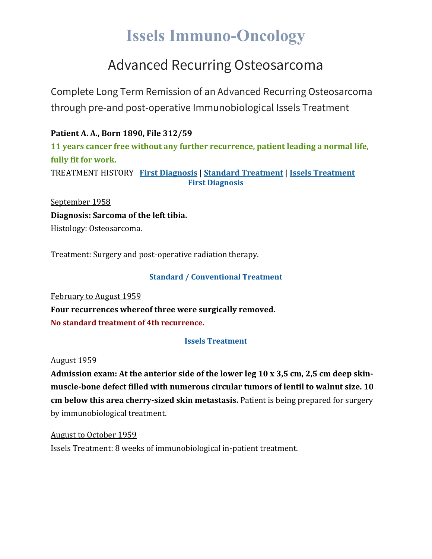# **Issels Immuno-Oncology**

### Advanced Recurring Osteosarcoma

Complete Long Term Remission of an Advanced Recurring Osteosarcoma through pre-and post-operative Immunobiological Issels Treatment

**Patient A. A., Born 1890, File 312/59 11 years cancer free without any further recurrence, patient leading a normal life, fully fit for work.** TREATMENT HISTORY **First [Diagnosis](https://issels.com/cancer-cases/osteosarcoma-2-advanced-recurring-osteosarcoma/#First)** | **Standard [Treatment](https://issels.com/cancer-cases/osteosarcoma-2-advanced-recurring-osteosarcoma/#Standard)** | **Issels [Treatment](https://issels.com/cancer-cases/osteosarcoma-2-advanced-recurring-osteosarcoma/#Issels) First Diagnosis**

September 1958 **Diagnosis: Sarcoma of the left tibia.** Histology: Osteosarcoma.

Treatment: Surgery and post-operative radiation therapy.

#### **Standard / Conventional Treatment**

February to August 1959 **Four recurrences whereof three were surgically removed. No standard treatment of 4th recurrence.**

### **Issels Treatment**

#### August 1959

**Admission exam: At the anterior side of the lower leg 10 x 3,5 cm, 2,5 cm deep skinmuscle-bone defect filled with numerous circular tumors of lentil to walnut size. 10 cm below this area cherry-sized skin metastasis.** Patient is being prepared for surgery by immunobiological treatment.

August to October 1959 Issels Treatment: 8 weeks of immunobiological in-patient treatment.